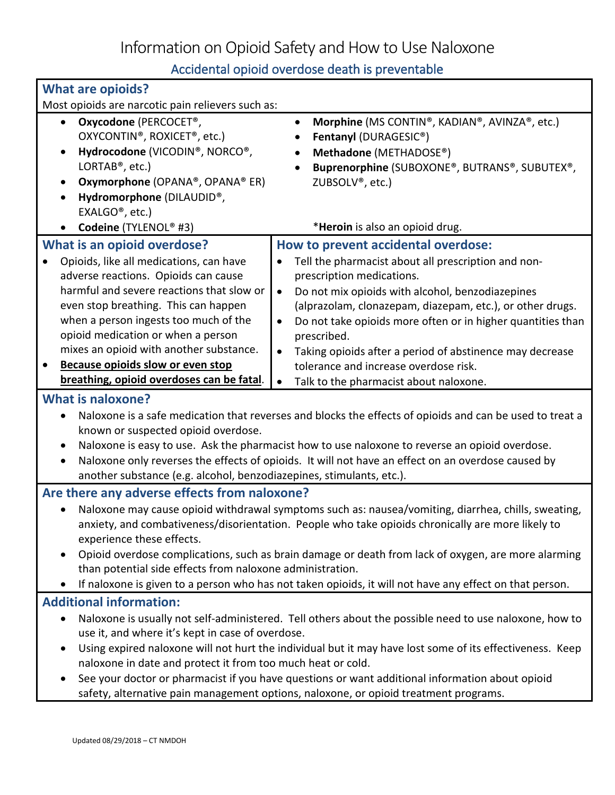Information on Opioid Safety and How to Use Naloxone

Accidental opioid overdose death is preventable

| <b>What are opioids?</b>                                                                                                                                                                                                                                                                                                                                                                                                                                                                                                                                                |                                                                                                                                                                                                                                                                                                                                                                                                                                                                                 |  |
|-------------------------------------------------------------------------------------------------------------------------------------------------------------------------------------------------------------------------------------------------------------------------------------------------------------------------------------------------------------------------------------------------------------------------------------------------------------------------------------------------------------------------------------------------------------------------|---------------------------------------------------------------------------------------------------------------------------------------------------------------------------------------------------------------------------------------------------------------------------------------------------------------------------------------------------------------------------------------------------------------------------------------------------------------------------------|--|
| Most opioids are narcotic pain relievers such as:                                                                                                                                                                                                                                                                                                                                                                                                                                                                                                                       |                                                                                                                                                                                                                                                                                                                                                                                                                                                                                 |  |
| Oxycodone (PERCOCET <sup>®</sup> ,<br>$\bullet$<br>OXYCONTIN <sup>®</sup> , ROXICET <sup>®</sup> , etc.)<br>Hydrocodone (VICODIN®, NORCO®,<br>$\bullet$<br>LORTAB <sup>®</sup> , etc.)<br>Oxymorphone (OPANA®, OPANA® ER)<br>Hydromorphone (DILAUDID®,<br>EXALGO <sup>®</sup> , etc.)                                                                                                                                                                                                                                                                                   | Morphine (MS CONTIN®, KADIAN®, AVINZA®, etc.)<br>$\bullet$<br>Fentanyl (DURAGESIC®)<br>Methadone (METHADOSE®)<br>Buprenorphine (SUBOXONE®, BUTRANS®, SUBUTEX®,<br>ZUBSOLV <sup>®</sup> , etc.)                                                                                                                                                                                                                                                                                  |  |
| Codeine (TYLENOL® #3)                                                                                                                                                                                                                                                                                                                                                                                                                                                                                                                                                   | *Heroin is also an opioid drug.                                                                                                                                                                                                                                                                                                                                                                                                                                                 |  |
| What is an opioid overdose?<br>Opioids, like all medications, can have<br>adverse reactions. Opioids can cause<br>harmful and severe reactions that slow or<br>even stop breathing. This can happen<br>when a person ingests too much of the<br>opioid medication or when a person<br>mixes an opioid with another substance.<br>Because opioids slow or even stop<br>$\bullet$                                                                                                                                                                                         | How to prevent accidental overdose:<br>Tell the pharmacist about all prescription and non-<br>$\bullet$<br>prescription medications.<br>Do not mix opioids with alcohol, benzodiazepines<br>$\bullet$<br>(alprazolam, clonazepam, diazepam, etc.), or other drugs.<br>Do not take opioids more often or in higher quantities than<br>$\bullet$<br>prescribed.<br>Taking opioids after a period of abstinence may decrease<br>$\bullet$<br>tolerance and increase overdose risk. |  |
| breathing, opioid overdoses can be fatal.                                                                                                                                                                                                                                                                                                                                                                                                                                                                                                                               | Talk to the pharmacist about naloxone.<br>$\bullet$                                                                                                                                                                                                                                                                                                                                                                                                                             |  |
| <b>What is naloxone?</b><br>Naloxone is a safe medication that reverses and blocks the effects of opioids and can be used to treat a<br>known or suspected opioid overdose.<br>Naloxone is easy to use. Ask the pharmacist how to use naloxone to reverse an opioid overdose.<br>Naloxone only reverses the effects of opioids. It will not have an effect on an overdose caused by<br>$\bullet$<br>another substance (e.g. alcohol, benzodiazepines, stimulants, etc.).                                                                                                |                                                                                                                                                                                                                                                                                                                                                                                                                                                                                 |  |
| Are there any adverse effects from naloxone?                                                                                                                                                                                                                                                                                                                                                                                                                                                                                                                            |                                                                                                                                                                                                                                                                                                                                                                                                                                                                                 |  |
| Naloxone may cause opioid withdrawal symptoms such as: nausea/vomiting, diarrhea, chills, sweating,<br>anxiety, and combativeness/disorientation. People who take opioids chronically are more likely to<br>experience these effects.<br>Opioid overdose complications, such as brain damage or death from lack of oxygen, are more alarming<br>$\bullet$<br>than potential side effects from naloxone administration.<br>If naloxone is given to a person who has not taken opioids, it will not have any effect on that person.                                       |                                                                                                                                                                                                                                                                                                                                                                                                                                                                                 |  |
| <b>Additional information:</b>                                                                                                                                                                                                                                                                                                                                                                                                                                                                                                                                          |                                                                                                                                                                                                                                                                                                                                                                                                                                                                                 |  |
| Naloxone is usually not self-administered. Tell others about the possible need to use naloxone, how to<br>$\bullet$<br>use it, and where it's kept in case of overdose.<br>Using expired naloxone will not hurt the individual but it may have lost some of its effectiveness. Keep<br>$\bullet$<br>naloxone in date and protect it from too much heat or cold.<br>See your doctor or pharmacist if you have questions or want additional information about opioid<br>$\bullet$<br>safety, alternative pain management options, naloxone, or opioid treatment programs. |                                                                                                                                                                                                                                                                                                                                                                                                                                                                                 |  |